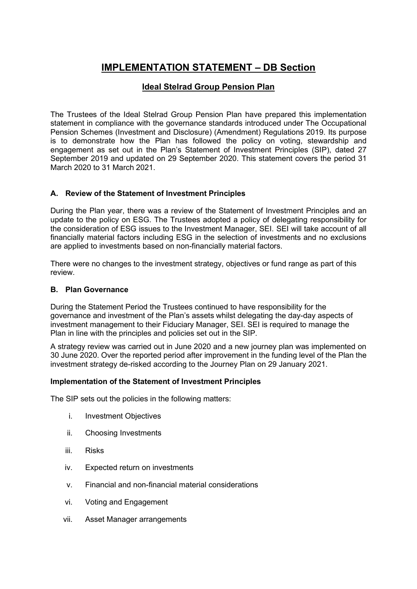# **IMPLEMENTATION STATEMENT – DB Section**

## **Ideal Stelrad Group Pension Plan**

The Trustees of the Ideal Stelrad Group Pension Plan have prepared this implementation statement in compliance with the governance standards introduced under The Occupational Pension Schemes (Investment and Disclosure) (Amendment) Regulations 2019. Its purpose is to demonstrate how the Plan has followed the policy on voting, stewardship and engagement as set out in the Plan's Statement of Investment Principles (SIP), dated 27 September 2019 and updated on 29 September 2020. This statement covers the period 31 March 2020 to 31 March 2021.

## **A. Review of the Statement of Investment Principles**

During the Plan year, there was a review of the Statement of Investment Principles and an update to the policy on ESG. The Trustees adopted a policy of delegating responsibility for the consideration of ESG issues to the Investment Manager, SEI. SEI will take account of all financially material factors including ESG in the selection of investments and no exclusions are applied to investments based on non-financially material factors.

There were no changes to the investment strategy, objectives or fund range as part of this review.

#### **B. Plan Governance**

During the Statement Period the Trustees continued to have responsibility for the governance and investment of the Plan's assets whilst delegating the day-day aspects of investment management to their Fiduciary Manager, SEI. SEI is required to manage the Plan in line with the principles and policies set out in the SIP.

A strategy review was carried out in June 2020 and a new journey plan was implemented on 30 June 2020. Over the reported period after improvement in the funding level of the Plan the investment strategy de-risked according to the Journey Plan on 29 January 2021.

#### **Implementation of the Statement of Investment Principles**

The SIP sets out the policies in the following matters:

- i. Investment Objectives
- ii. Choosing Investments
- iii. Risks
- iv. Expected return on investments
- v. Financial and non-financial material considerations
- vi. Voting and Engagement
- vii. Asset Manager arrangements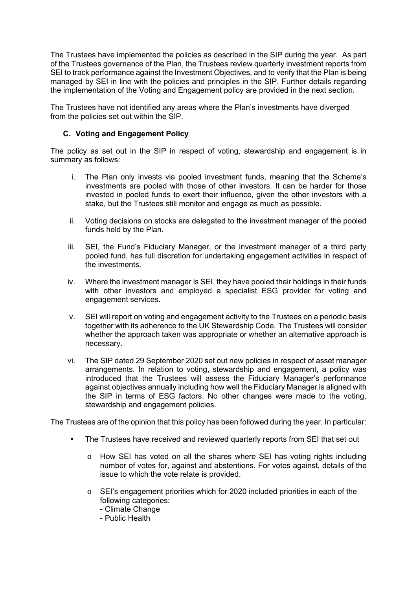The Trustees have implemented the policies as described in the SIP during the year. As part of the Trustees governance of the Plan, the Trustees review quarterly investment reports from SEI to track performance against the Investment Objectives, and to verify that the Plan is being managed by SEI in line with the policies and principles in the SIP. Further details regarding the implementation of the Voting and Engagement policy are provided in the next section.

The Trustees have not identified any areas where the Plan's investments have diverged from the policies set out within the SIP.

### **C. Voting and Engagement Policy**

The policy as set out in the SIP in respect of voting, stewardship and engagement is in summary as follows:

- i. The Plan only invests via pooled investment funds, meaning that the Scheme's investments are pooled with those of other investors. It can be harder for those invested in pooled funds to exert their influence, given the other investors with a stake, but the Trustees still monitor and engage as much as possible.
- ii. Voting decisions on stocks are delegated to the investment manager of the pooled funds held by the Plan.
- iii. SEI, the Fund's Fiduciary Manager, or the investment manager of a third party pooled fund, has full discretion for undertaking engagement activities in respect of the investments.
- iv. Where the investment manager is SEI, they have pooled their holdings in their funds with other investors and employed a specialist ESG provider for voting and engagement services.
- v. SEI will report on voting and engagement activity to the Trustees on a periodic basis together with its adherence to the UK Stewardship Code. The Trustees will consider whether the approach taken was appropriate or whether an alternative approach is necessary.
- vi. The SIP dated 29 September 2020 set out new policies in respect of asset manager arrangements. In relation to voting, stewardship and engagement, a policy was introduced that the Trustees will assess the Fiduciary Manager's performance against objectives annually including how well the Fiduciary Manager is aligned with the SIP in terms of ESG factors. No other changes were made to the voting, stewardship and engagement policies.

The Trustees are of the opinion that this policy has been followed during the year. In particular:

- **•** The Trustees have received and reviewed quarterly reports from SEI that set out
	- o How SEI has voted on all the shares where SEI has voting rights including number of votes for, against and abstentions. For votes against, details of the issue to which the vote relate is provided.
	- o SEI's engagement priorities which for 2020 included priorities in each of the following categories:
		- Climate Change
		- Public Health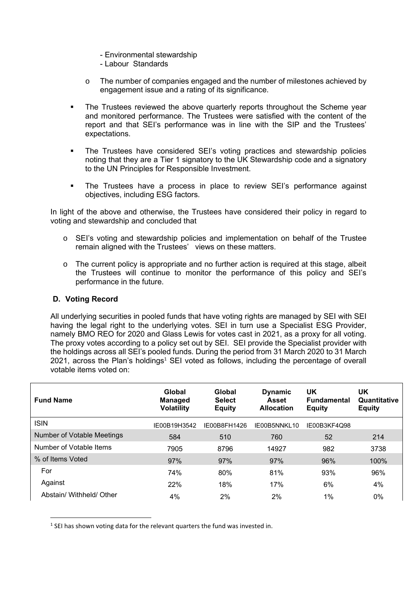- Environmental stewardship
- Labour Standards
- o The number of companies engaged and the number of milestones achieved by engagement issue and a rating of its significance.
- The Trustees reviewed the above quarterly reports throughout the Scheme year and monitored performance. The Trustees were satisfied with the content of the report and that SEI's performance was in line with the SIP and the Trustees' expectations.
- The Trustees have considered SEI's voting practices and stewardship policies noting that they are a Tier 1 signatory to the UK Stewardship code and a signatory to the UN Principles for Responsible Investment.
- **•** The Trustees have a process in place to review SEI's performance against objectives, including ESG factors.

In light of the above and otherwise, the Trustees have considered their policy in regard to voting and stewardship and concluded that

- o SEI's voting and stewardship policies and implementation on behalf of the Trustee remain aligned with the Trustees' views on these matters.
- o The current policy is appropriate and no further action is required at this stage, albeit the Trustees will continue to monitor the performance of this policy and SEI's performance in the future.

#### **D. Voting Record**

All underlying securities in pooled funds that have voting rights are managed by SEI with SEI having the legal right to the underlying votes. SEI in turn use a Specialist ESG Provider, namely BMO REO for 2020 and Glass Lewis for votes cast in 2021, as a proxy for all voting. The proxy votes according to a policy set out by SEI. SEI provide the Specialist provider with the holdings across all SEI's pooled funds. During the period from 31 March 2020 to 31 March 2021, across the Plan's holdings<sup>1</sup> SEI voted as follows, including the percentage of overall votable items voted on:

| <b>Fund Name</b>           | Global<br><b>Managed</b><br><b>Volatility</b> | Global<br><b>Select</b><br><b>Equity</b> | <b>Dynamic</b><br>Asset<br><b>Allocation</b> | UK<br><b>Fundamental</b><br><b>Equity</b> | UK<br>Quantitative<br><b>Equity</b> |
|----------------------------|-----------------------------------------------|------------------------------------------|----------------------------------------------|-------------------------------------------|-------------------------------------|
| <b>ISIN</b>                | IE00B19H3542                                  | IE00B8FH1426                             | IE00B5NNKL10                                 | IE00B3KF4Q98                              |                                     |
| Number of Votable Meetings | 584                                           | 510                                      | 760                                          | 52                                        | 214                                 |
| Number of Votable Items    | 7905                                          | 8796                                     | 14927                                        | 982                                       | 3738                                |
| % of Items Voted           | 97%                                           | 97%                                      | 97%                                          | 96%                                       | 100%                                |
| For                        | 74%                                           | 80%                                      | 81%                                          | 93%                                       | 96%                                 |
| Against                    | 22%                                           | 18%                                      | 17%                                          | 6%                                        | 4%                                  |
| Abstain/ Withheld/ Other   | 4%                                            | 2%                                       | 2%                                           | 1%                                        | $0\%$                               |

 $<sup>1</sup>$  SEI has shown voting data for the relevant quarters the fund was invested in.</sup>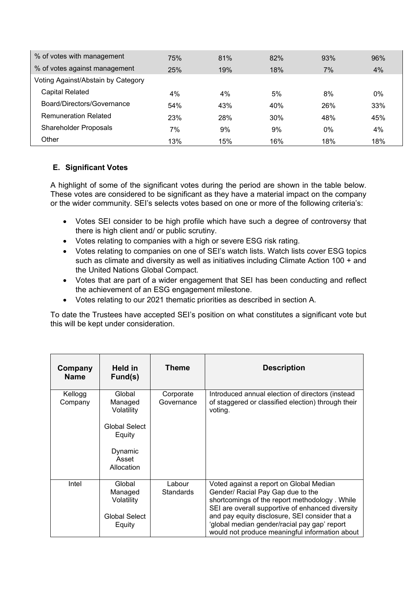| % of votes with management         | 75% | 81% | 82% | 93% | 96% |
|------------------------------------|-----|-----|-----|-----|-----|
| % of votes against management      | 25% | 19% | 18% | 7%  | 4%  |
| Voting Against/Abstain by Category |     |     |     |     |     |
| <b>Capital Related</b>             | 4%  | 4%  | 5%  | 8%  | 0%  |
| Board/Directors/Governance         | 54% | 43% | 40% | 26% | 33% |
| <b>Remuneration Related</b>        | 23% | 28% | 30% | 48% | 45% |
| <b>Shareholder Proposals</b>       | 7%  | 9%  | 9%  | 0%  | 4%  |
| Other                              | 13% | 15% | 16% | 18% | 18% |

## **E. Significant Votes**

A highlight of some of the significant votes during the period are shown in the table below. These votes are considered to be significant as they have a material impact on the company or the wider community. SEI's selects votes based on one or more of the following criteria's:

- Votes SEI consider to be high profile which have such a degree of controversy that there is high client and/ or public scrutiny.
- Votes relating to companies with a high or severe ESG risk rating.
- Votes relating to companies on one of SEI's watch lists. Watch lists cover ESG topics such as climate and diversity as well as initiatives including Climate Action 100 + and the United Nations Global Compact.
- Votes that are part of a wider engagement that SEI has been conducting and reflect the achievement of an ESG engagement milestone.
- Votes relating to our 2021 thematic priorities as described in section A.

To date the Trustees have accepted SEI's position on what constitutes a significant vote but this will be kept under consideration.

| Company<br><b>Name</b> | Held in<br>Fund(s)                                                             | Theme                      | <b>Description</b>                                                                                                                                                                                                                                                                                                                    |
|------------------------|--------------------------------------------------------------------------------|----------------------------|---------------------------------------------------------------------------------------------------------------------------------------------------------------------------------------------------------------------------------------------------------------------------------------------------------------------------------------|
| Kellogg<br>Company     | Global<br>Managed<br>Volatility<br>Global Select<br>Equity<br>Dynamic<br>Asset | Corporate<br>Governance    | Introduced annual election of directors (instead<br>of staggered or classified election) through their<br>voting.                                                                                                                                                                                                                     |
|                        | Allocation                                                                     |                            |                                                                                                                                                                                                                                                                                                                                       |
| Intel                  | Global<br>Managed<br>Volatility<br>Global Select<br>Equity                     | Labour<br><b>Standards</b> | Voted against a report on Global Median<br>Gender/ Racial Pay Gap due to the<br>shortcomings of the report methodology. While<br>SEI are overall supportive of enhanced diversity<br>and pay equity disclosure, SEI consider that a<br>'global median gender/racial pay gap' report<br>would not produce meaningful information about |